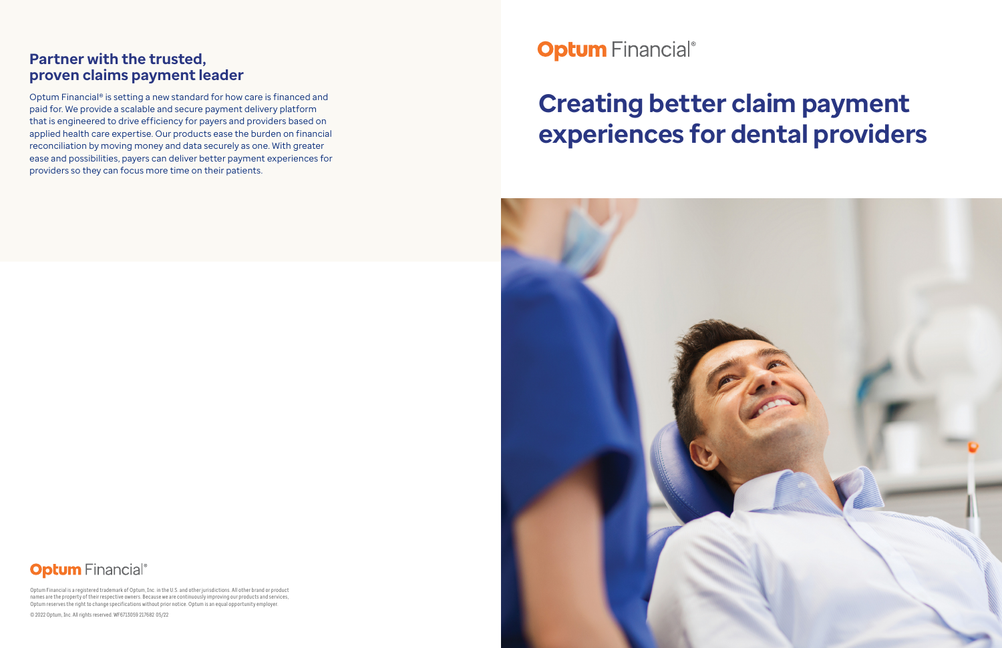# **Creating better claim payment experiences for dental providers**



# **Optum** Financial®

### **Partner with the trusted, proven claims payment leader**

Optum Financial® is setting a new standard for how care is financed and paid for. We provide a scalable and secure payment delivery platform that is engineered to drive efficiency for payers and providers based on applied health care expertise. Our products ease the burden on financial reconciliation by moving money and data securely as one. With greater ease and possibilities, payers can deliver better payment experiences for providers so they can focus more time on their patients.

**Optum** Financial®

Optum Financial is a registered trademark of Optum, Inc. in the U.S. and other jurisdictions. All other brand or product names are the property of their respective owners. Because we are continuously improving our products and services, Optum reserves the right to change specifications without prior notice. Optum is an equal opportunity employer.

© 2022 Optum, Inc. All rights reserved. WF6713059 217682 05/22